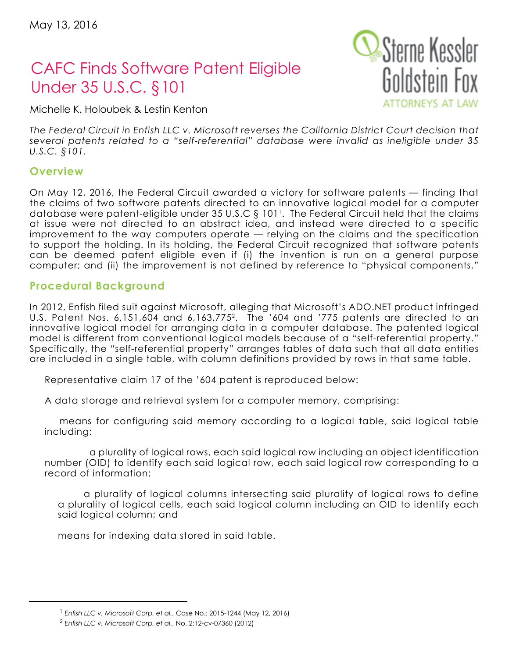# CAFC Finds Software Patent Eligible Under 35 U.S.C. §101

Michelle K. Holoubek & Lestin Kenton

*The Federal Circuit in Enfish LLC v. Microsoft reverses the California District Court decision that several patents related to a "self-referential" database were invalid as ineligible under 35 U.S.C. §101.* 

## **Overview**

On May 12, 2016, the Federal Circuit awarded a victory for software patents — finding that the claims of two software patents directed to an innovative logical model for a computer database were patent-eligible under 35 U.S.C § 1011. The Federal Circuit held that the claims at issue were not directed to an abstract idea, and instead were directed to a specific improvement to the way computers operate — relying on the claims and the specification to support the holding. In its holding, the Federal Circuit recognized that software patents can be deemed patent eligible even if (i) the invention is run on a general purpose computer; and (ii) the improvement is not defined by reference to "physical components."

#### **Procedural Background**

In 2012, Enfish filed suit against Microsoft, alleging that Microsoft's ADO.NET product infringed U.S. Patent Nos. 6,151,604 and 6,163,7752. The '604 and '775 patents are directed to an innovative logical model for arranging data in a computer database. The patented logical model is different from conventional logical models because of a "self-referential property." Specifically, the "self-referential property" arranges tables of data such that all data entities are included in a single table, with column definitions provided by rows in that same table.

Representative claim 17 of the '604 patent is reproduced below:

A data storage and retrieval system for a computer memory, comprising:

means for configuring said memory according to a logical table, said logical table including:

 a plurality of logical rows, each said logical row including an object identification number (OID) to identify each said logical row, each said logical row corresponding to a record of information;

a plurality of logical columns intersecting said plurality of logical rows to define a plurality of logical cells, each said logical column including an OID to identify each said logical column; and

means for indexing data stored in said table.



<sup>1</sup> *Enfish LLC v. Microsoft Corp. et al.*, Case No.: 2015-1244 (May 12, 2016)

<sup>2</sup> *Enfish LLC v. Microsoft Corp. et al.*, No. 2:12-cv-07360 (2012)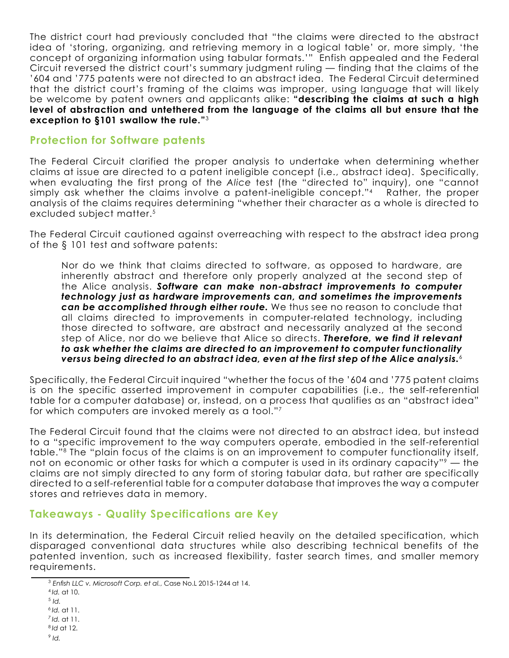The district court had previously concluded that "the claims were directed to the abstract idea of 'storing, organizing, and retrieving memory in a logical table' or, more simply, 'the concept of organizing information using tabular formats.'" Enfish appealed and the Federal Circuit reversed the district court's summary judgment ruling — finding that the claims of the '604 and '775 patents were not directed to an abstract idea. The Federal Circuit determined that the district court's framing of the claims was improper, using language that will likely be welcome by patent owners and applicants alike: **"describing the claims at such a high level of abstraction and untethered from the language of the claims all but ensure that the exception to §101 swallow the rule."**<sup>3</sup>

### **Protection for Software patents**

The Federal Circuit clarified the proper analysis to undertake when determining whether claims at issue are directed to a patent ineligible concept (i.e., abstract idea). Specifically, when evaluating the first prong of the *Alice* test (the "directed to" inquiry), one "cannot simply ask whether the claims involve a patent-ineligible concept."<sup>4</sup> Rather, the proper analysis of the claims requires determining "whether their character as a whole is directed to excluded subject matter.<sup>5</sup>

The Federal Circuit cautioned against overreaching with respect to the abstract idea prong of the § 101 test and software patents:

Nor do we think that claims directed to software, as opposed to hardware, are inherently abstract and therefore only properly analyzed at the second step of the Alice analysis. *Software can make non-abstract improvements to computer technology just as hardware improvements can, and sometimes the improvements can be accomplished through either route.* We thus see no reason to conclude that all claims directed to improvements in computer-related technology, including those directed to software, are abstract and necessarily analyzed at the second step of Alice, nor do we believe that Alice so directs. *Therefore, we find it relevant to ask whether the claims are directed to an improvement to computer functionality versus being directed to an abstract idea, even at the first step of the Alice analysis.*<sup>6</sup>

Specifically, the Federal Circuit inquired "whether the focus of the '604 and '775 patent claims is on the specific asserted improvement in computer capabilities (i.e., the self-referential table for a computer database) or, instead, on a process that qualifies as an "abstract idea" for which computers are invoked merely as a tool."7

The Federal Circuit found that the claims were not directed to an abstract idea, but instead to a "specific improvement to the way computers operate, embodied in the self-referential table."8 The "plain focus of the claims is on an improvement to computer functionality itself, not on economic or other tasks for which a computer is used in its ordinary capacity"<sup>9</sup> — the claims are not simply directed to any form of storing tabular data, but rather are specifically directed to a self-referential table for a computer database that improves the way a computer stores and retrieves data in memory.

# **Takeaways - Quality Specifications are Key**

In its determination, the Federal Circuit relied heavily on the detailed specification, which disparaged conventional data structures while also describing technical benefits of the patented invention, such as increased flexibility, faster search times, and smaller memory requirements.

<sup>3</sup> *Enfish LLC v. Microsoft Corp. et al.*, Case No.L 2015-1244 at 14.

<sup>4</sup>*Id.* at 10.

<sup>5</sup> *Id.*

*<sup>6</sup> Id.* at 11.

*<sup>7</sup> Id.* at 11.

<sup>8</sup>*Id* at 12.  $9$  *Id.*